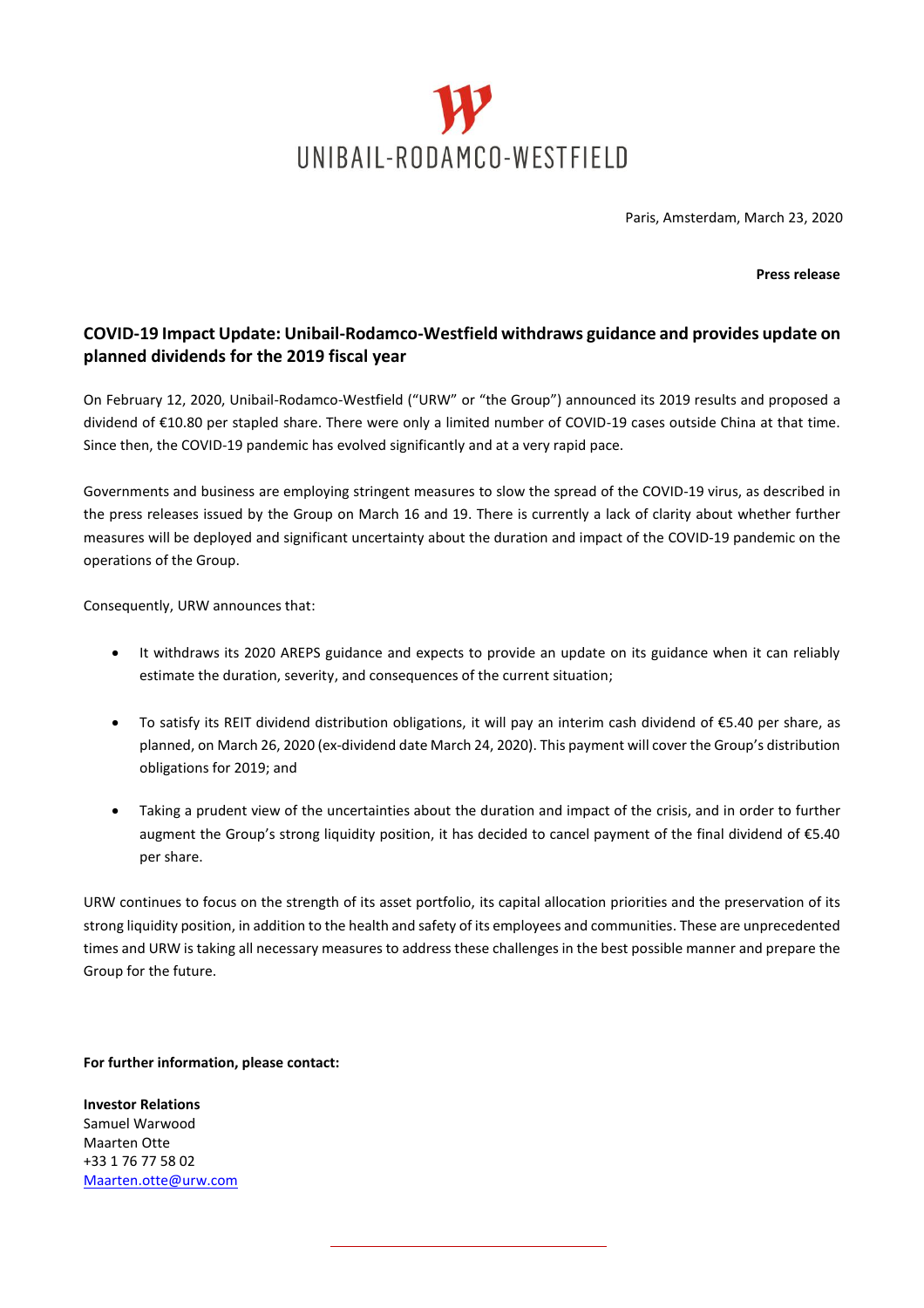

Paris, Amsterdam, March 23, 2020

**Press release**

## **COVID-19 Impact Update: Unibail-Rodamco-Westfield withdraws guidance and provides update on planned dividends for the 2019 fiscal year**

On February 12, 2020, Unibail-Rodamco-Westfield ("URW" or "the Group") announced its 2019 results and proposed a dividend of €10.80 per stapled share. There were only a limited number of COVID-19 cases outside China at that time. Since then, the COVID-19 pandemic has evolved significantly and at a very rapid pace.

Governments and business are employing stringent measures to slow the spread of the COVID-19 virus, as described in the press releases issued by the Group on March 16 and 19. There is currently a lack of clarity about whether further measures will be deployed and significant uncertainty about the duration and impact of the COVID-19 pandemic on the operations of the Group.

Consequently, URW announces that:

- It withdraws its 2020 AREPS guidance and expects to provide an update on its guidance when it can reliably estimate the duration, severity, and consequences of the current situation;
- To satisfy its REIT dividend distribution obligations, it will pay an interim cash dividend of €5.40 per share, as planned, on March 26, 2020 (ex-dividend date March 24, 2020). This payment will cover the Group's distribution obligations for 2019; and
- Taking a prudent view of the uncertainties about the duration and impact of the crisis, and in order to further augment the Group's strong liquidity position, it has decided to cancel payment of the final dividend of €5.40 per share.

URW continues to focus on the strength of its asset portfolio, its capital allocation priorities and the preservation of its strong liquidity position, in addition to the health and safety of its employees and communities. These are unprecedented times and URW is taking all necessary measures to address these challenges in the best possible manner and prepare the Group for the future.

**For further information, please contact:**

**Investor Relations** Samuel Warwood Maarten Otte +33 1 76 77 58 02 [Maarten.otte@urw.com](mailto:Maarten.otte@urw.com)